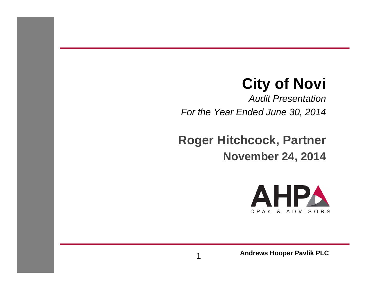### **City of Novi**

*Audit PresentationFor the Year Ended June 30, 2014*

**Roger Hitchcock, Partner November 24, 2014**



**Andrews Hooper Pavlik PLC**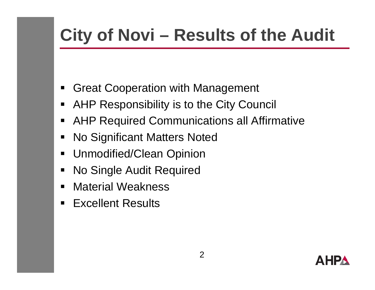# **City of Novi – Results of the Audit**

- $\blacksquare$ Great Cooperation with Management
- $\blacksquare$ AHP Responsibility is to the City Council
- $\blacksquare$ AHP Re quired Communications all Affirmative
- $\blacksquare$ No Significant Matters Noted
- Unmodified/Clean Opinion
- $\blacksquare$ No Single Audit Required
- $\blacksquare$ Material Weakness
- $\blacksquare$ ■ Excellent Results

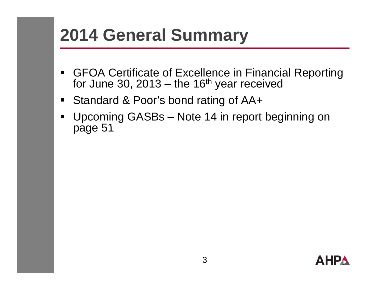# **2014 General Summary**

- $\blacksquare$  GFOA Certificate of Excellence in Financial Reporting for June 30, 2013 – the 16<sup>th</sup> year received
- Standard & Poor's bond rating of AA+
- $\blacksquare$  Upcoming GASBs – Note 14 in report beginning on page 51

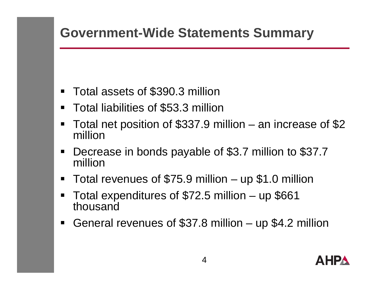### **Government-Wide Statements Summary**

- $\blacksquare$ Total assets of \$390.3 million
- $\blacksquare$ Total liabilities of \$53.3 million
- $\blacksquare$ ■ Total net position of \$337.9 million  $-$  an increase of  $\$2$ million
- $\blacksquare$  Decrease in bonds payable of \$3.7 million to \$37.7 million
- $\blacksquare$ Total revenues of \$75.9 million – up \$1.0 million
- $\blacksquare$ Total expenditures of \$72.5 million – up \$661 thousand
- $\blacksquare$ General revenues of \$37.8 million – up \$4.2 million

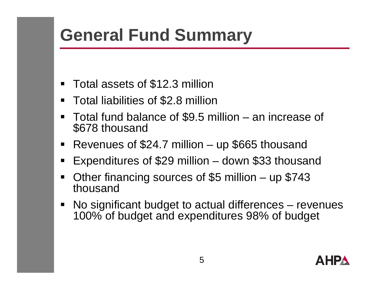# **General Fund Summary**

- $\blacksquare$ Total assets of \$12.3 million
- $\blacksquare$ Total liabilities of \$2.8 million
- Total fund balance of \$9.5 million – an increase of \$678 thousand
- $\blacksquare$ Revenues of \$24.7 million – up \$665 thousand
- $\blacksquare$ **Expenditures of \$29 million** – down \$33 thousand
- $\qquad \qquad \blacksquare$  Other financing sources of \$5 million – up \$743 thousand
- $\blacksquare$ ■ No significant budget to actual differences – revenues 100% of budget and expenditures 98% of budget

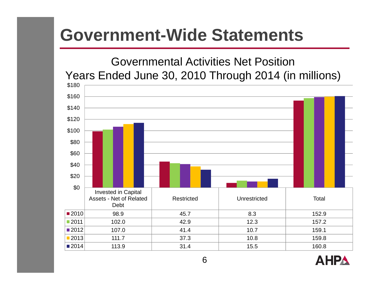#### Governmental Activities Net PositionYears Ended June 30, 2010 Through 2014 (in millions)



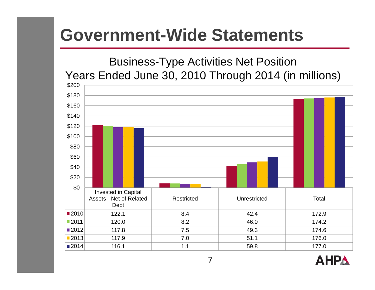#### Business-Type Activities Net Position Years Ended June 30, 2010 Through 2014 (in millions)



**AHPA**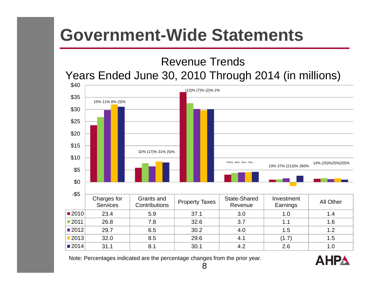#### Revenue Trends Years Ended June 30, 2010 Through 2014 (in millions)



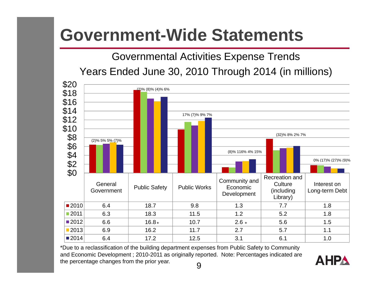Governmental Activities Expense Trends

Years Ended June 30, 2010 Through 2014 (in millions)



\*Due to a reclassification of the building department expenses from Public Safety to Community and Economic Development ; 2010-2011 as originally reported. Note: Percentages indicated are the percentage changes from the prior year. 9

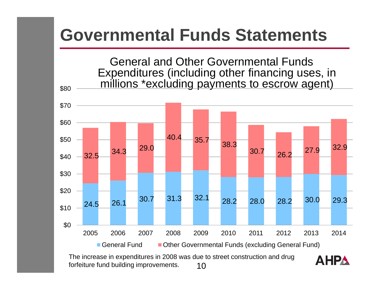

The increase in expenditures in 2008 was due to street construction and drug forfeiture fund building improvements. 10

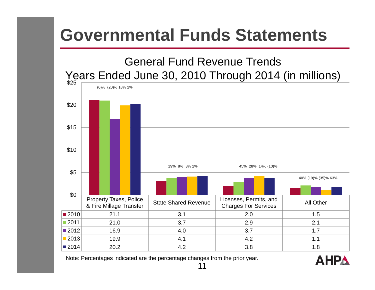

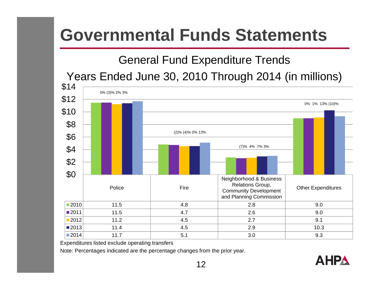#### General Fund Expenditure Trends

Years Ended June 30, 2010 Through 2014 (in millions)



Expenditures listed exclude operating transfers

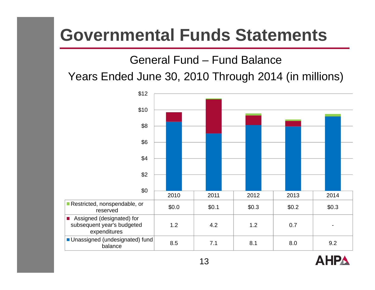#### General Fund – Fund Balance

#### Years Ended June 30, 2010 Through 2014 (in millions)



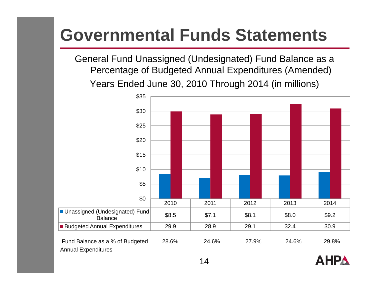General Fund Unassigned (Undesignated) Fund Balance as a Percentage of Budgeted Annual Expenditures (Amended) Years Ended June 30, 2010 Through 2014 (in millions)



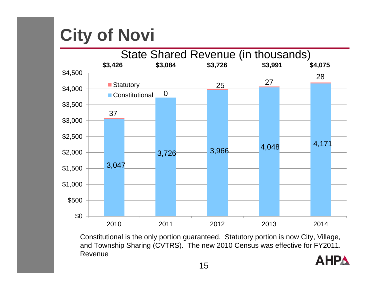# **City of Novi**



Constitutional is the only portion guaranteed. Statutory portion is now City, Village, and Township Sharing (CVTRS). The new 2010 Census was effective for FY2011. Revenue

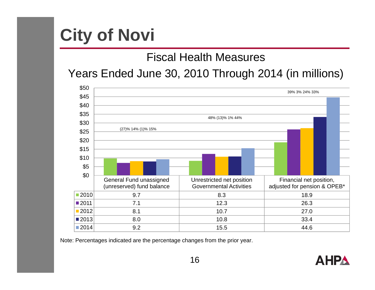# **City of Novi**

#### Fiscal Health Measures

#### Years Ended June 30, 2010 Through 2014 (in millions)



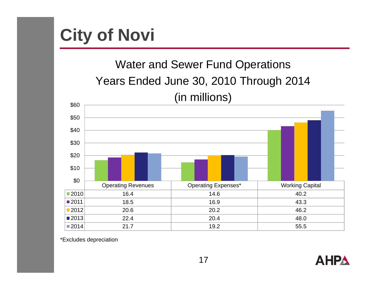

### Water and Sewer Fund Operations Years Ended June 30, 2010 Through 2014 (in millions)



\*Excludes depreciation

**AHPA**